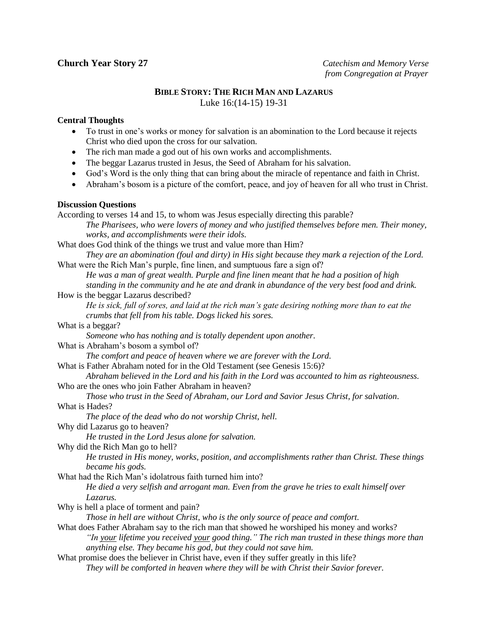# **BIBLE STORY: THE RICH MAN AND LAZARUS** Luke 16:(14-15) 19-31

## **Central Thoughts**

- To trust in one's works or money for salvation is an abomination to the Lord because it rejects Christ who died upon the cross for our salvation.
- The rich man made a god out of his own works and accomplishments.
- The beggar Lazarus trusted in Jesus, the Seed of Abraham for his salvation.
- God's Word is the only thing that can bring about the miracle of repentance and faith in Christ.
- Abraham's bosom is a picture of the comfort, peace, and joy of heaven for all who trust in Christ.

## **Discussion Questions**

According to verses 14 and 15, to whom was Jesus especially directing this parable? *The Pharisees, who were lovers of money and who justified themselves before men. Their money, works, and accomplishments were their idols.* What does God think of the things we trust and value more than Him? *They are an abomination (foul and dirty) in His sight because they mark a rejection of the Lord.* What were the Rich Man's purple, fine linen, and sumptuous fare a sign of? *He was a man of great wealth. Purple and fine linen meant that he had a position of high standing in the community and he ate and drank in abundance of the very best food and drink.* How is the beggar Lazarus described? *He is sick, full of sores, and laid at the rich man's gate desiring nothing more than to eat the crumbs that fell from his table. Dogs licked his sores.* What is a beggar? *Someone who has nothing and is totally dependent upon another.* What is Abraham's bosom a symbol of? *The comfort and peace of heaven where we are forever with the Lord.* What is Father Abraham noted for in the Old Testament (see Genesis 15:6)? *Abraham believed in the Lord and his faith in the Lord was accounted to him as righteousness.* Who are the ones who join Father Abraham in heaven? *Those who trust in the Seed of Abraham, our Lord and Savior Jesus Christ, for salvation.* What is Hades? *The place of the dead who do not worship Christ, hell.* Why did Lazarus go to heaven? *He trusted in the Lord Jesus alone for salvation.* Why did the Rich Man go to hell? *He trusted in His money, works, position, and accomplishments rather than Christ. These things became his gods.* What had the Rich Man's idolatrous faith turned him into? *He died a very selfish and arrogant man. Even from the grave he tries to exalt himself over Lazarus.* Why is hell a place of torment and pain? *Those in hell are without Christ, who is the only source of peace and comfort.* What does Father Abraham say to the rich man that showed he worshiped his money and works? *"In your lifetime you received your good thing." The rich man trusted in these things more than anything else. They became his god, but they could not save him.* What promise does the believer in Christ have, even if they suffer greatly in this life? *They will be comforted in heaven where they will be with Christ their Savior forever.*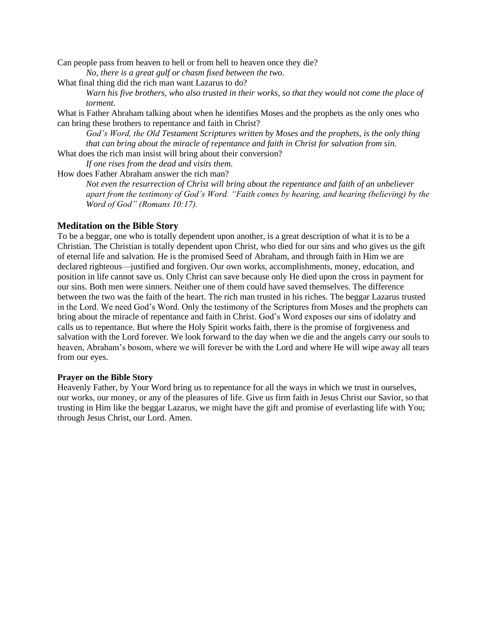Can people pass from heaven to hell or from hell to heaven once they die?

*No, there is a great gulf or chasm fixed between the two.*

What final thing did the rich man want Lazarus to do?

*Warn his five brothers, who also trusted in their works, so that they would not come the place of torment.*

What is Father Abraham talking about when he identifies Moses and the prophets as the only ones who can bring these brothers to repentance and faith in Christ?

*God's Word, the Old Testament Scriptures written by Moses and the prophets, is the only thing that can bring about the miracle of repentance and faith in Christ for salvation from sin.* What does the rich man insist will bring about their conversion?

*If one rises from the dead and visits them.*

How does Father Abraham answer the rich man?

*Not even the resurrection of Christ will bring about the repentance and faith of an unbeliever apart from the testimony of God's Word. "Faith comes by hearing, and hearing (believing) by the Word of God" (Romans 10:17).*

### **Meditation on the Bible Story**

To be a beggar, one who is totally dependent upon another, is a great description of what it is to be a Christian. The Christian is totally dependent upon Christ, who died for our sins and who gives us the gift of eternal life and salvation. He is the promised Seed of Abraham, and through faith in Him we are declared righteous—justified and forgiven. Our own works, accomplishments, money, education, and position in life cannot save us. Only Christ can save because only He died upon the cross in payment for our sins. Both men were sinners. Neither one of them could have saved themselves. The difference between the two was the faith of the heart. The rich man trusted in his riches. The beggar Lazarus trusted in the Lord. We need God's Word. Only the testimony of the Scriptures from Moses and the prophets can bring about the miracle of repentance and faith in Christ. God's Word exposes our sins of idolatry and calls us to repentance. But where the Holy Spirit works faith, there is the promise of forgiveness and salvation with the Lord forever. We look forward to the day when we die and the angels carry our souls to heaven, Abraham's bosom, where we will forever be with the Lord and where He will wipe away all tears from our eyes.

### **Prayer on the Bible Story**

Heavenly Father, by Your Word bring us to repentance for all the ways in which we trust in ourselves, our works, our money, or any of the pleasures of life. Give us firm faith in Jesus Christ our Savior, so that trusting in Him like the beggar Lazarus, we might have the gift and promise of everlasting life with You; through Jesus Christ, our Lord. Amen.